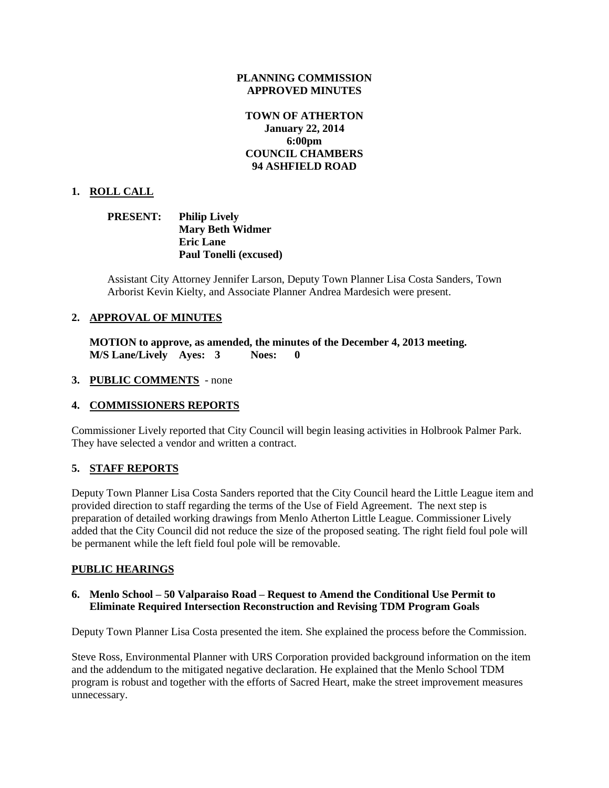#### **PLANNING COMMISSION APPROVED MINUTES**

# **TOWN OF ATHERTON January 22, 2014 6:00pm COUNCIL CHAMBERS 94 ASHFIELD ROAD**

# **1. ROLL CALL**

### **PRESENT: Philip Lively Mary Beth Widmer Eric Lane Paul Tonelli (excused)**

Assistant City Attorney Jennifer Larson, Deputy Town Planner Lisa Costa Sanders, Town Arborist Kevin Kielty, and Associate Planner Andrea Mardesich were present.

# **2. APPROVAL OF MINUTES**

**MOTION to approve, as amended, the minutes of the December 4, 2013 meeting. M/S Lane/Lively Ayes: 3 Noes: 0**

#### **3. PUBLIC COMMENTS** - none

#### **4. COMMISSIONERS REPORTS**

Commissioner Lively reported that City Council will begin leasing activities in Holbrook Palmer Park. They have selected a vendor and written a contract.

#### **5. STAFF REPORTS**

Deputy Town Planner Lisa Costa Sanders reported that the City Council heard the Little League item and provided direction to staff regarding the terms of the Use of Field Agreement. The next step is preparation of detailed working drawings from Menlo Atherton Little League. Commissioner Lively added that the City Council did not reduce the size of the proposed seating. The right field foul pole will be permanent while the left field foul pole will be removable.

#### **PUBLIC HEARINGS**

#### **6. Menlo School – 50 Valparaiso Road – Request to Amend the Conditional Use Permit to Eliminate Required Intersection Reconstruction and Revising TDM Program Goals**

Deputy Town Planner Lisa Costa presented the item. She explained the process before the Commission.

Steve Ross, Environmental Planner with URS Corporation provided background information on the item and the addendum to the mitigated negative declaration. He explained that the Menlo School TDM program is robust and together with the efforts of Sacred Heart, make the street improvement measures unnecessary.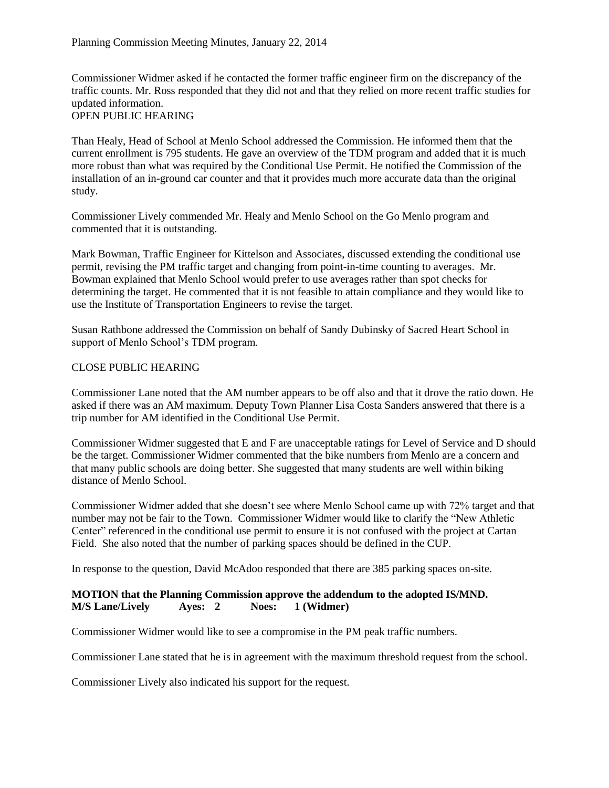Commissioner Widmer asked if he contacted the former traffic engineer firm on the discrepancy of the traffic counts. Mr. Ross responded that they did not and that they relied on more recent traffic studies for updated information.

# OPEN PUBLIC HEARING

Than Healy, Head of School at Menlo School addressed the Commission. He informed them that the current enrollment is 795 students. He gave an overview of the TDM program and added that it is much more robust than what was required by the Conditional Use Permit. He notified the Commission of the installation of an in-ground car counter and that it provides much more accurate data than the original study.

Commissioner Lively commended Mr. Healy and Menlo School on the Go Menlo program and commented that it is outstanding.

Mark Bowman, Traffic Engineer for Kittelson and Associates, discussed extending the conditional use permit, revising the PM traffic target and changing from point-in-time counting to averages. Mr. Bowman explained that Menlo School would prefer to use averages rather than spot checks for determining the target. He commented that it is not feasible to attain compliance and they would like to use the Institute of Transportation Engineers to revise the target.

Susan Rathbone addressed the Commission on behalf of Sandy Dubinsky of Sacred Heart School in support of Menlo School's TDM program.

#### CLOSE PUBLIC HEARING

Commissioner Lane noted that the AM number appears to be off also and that it drove the ratio down. He asked if there was an AM maximum. Deputy Town Planner Lisa Costa Sanders answered that there is a trip number for AM identified in the Conditional Use Permit.

Commissioner Widmer suggested that E and F are unacceptable ratings for Level of Service and D should be the target. Commissioner Widmer commented that the bike numbers from Menlo are a concern and that many public schools are doing better. She suggested that many students are well within biking distance of Menlo School.

Commissioner Widmer added that she doesn't see where Menlo School came up with 72% target and that number may not be fair to the Town. Commissioner Widmer would like to clarify the "New Athletic Center" referenced in the conditional use permit to ensure it is not confused with the project at Cartan Field. She also noted that the number of parking spaces should be defined in the CUP.

In response to the question, David McAdoo responded that there are 385 parking spaces on-site.

#### **MOTION that the Planning Commission approve the addendum to the adopted IS/MND. M/S Lane/Lively Ayes: 2 Noes: 1 (Widmer)**

Commissioner Widmer would like to see a compromise in the PM peak traffic numbers.

Commissioner Lane stated that he is in agreement with the maximum threshold request from the school.

Commissioner Lively also indicated his support for the request.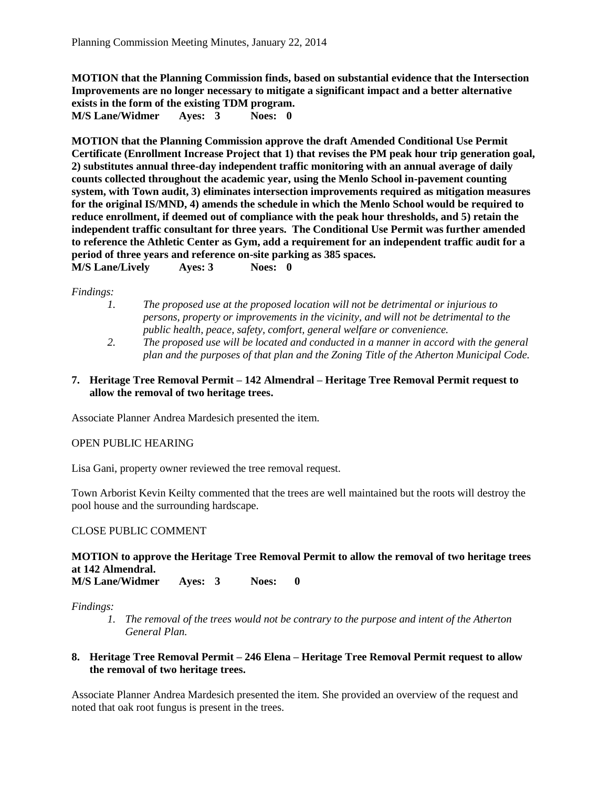**MOTION that the Planning Commission finds, based on substantial evidence that the Intersection Improvements are no longer necessary to mitigate a significant impact and a better alternative exists in the form of the existing TDM program. M/S Lane/Widmer Ayes: 3 Noes: 0**

**MOTION that the Planning Commission approve the draft Amended Conditional Use Permit Certificate (Enrollment Increase Project that 1) that revises the PM peak hour trip generation goal, 2) substitutes annual three-day independent traffic monitoring with an annual average of daily counts collected throughout the academic year, using the Menlo School in-pavement counting system, with Town audit, 3) eliminates intersection improvements required as mitigation measures for the original IS/MND, 4) amends the schedule in which the Menlo School would be required to reduce enrollment, if deemed out of compliance with the peak hour thresholds, and 5) retain the independent traffic consultant for three years. The Conditional Use Permit was further amended to reference the Athletic Center as Gym, add a requirement for an independent traffic audit for a period of three years and reference on-site parking as 385 spaces.** 

**M/S Lane/Lively Ayes: 3 Noes: 0**

*Findings:*

- *1. The proposed use at the proposed location will not be detrimental or injurious to persons, property or improvements in the vicinity, and will not be detrimental to the public health, peace, safety, comfort, general welfare or convenience.*
- *2. The proposed use will be located and conducted in a manner in accord with the general plan and the purposes of that plan and the Zoning Title of the Atherton Municipal Code.*
- **7. Heritage Tree Removal Permit – 142 Almendral – Heritage Tree Removal Permit request to allow the removal of two heritage trees.**

Associate Planner Andrea Mardesich presented the item.

OPEN PUBLIC HEARING

Lisa Gani, property owner reviewed the tree removal request.

Town Arborist Kevin Keilty commented that the trees are well maintained but the roots will destroy the pool house and the surrounding hardscape.

#### CLOSE PUBLIC COMMENT

# **MOTION to approve the Heritage Tree Removal Permit to allow the removal of two heritage trees at 142 Almendral.**

**M/S Lane/Widmer Ayes: 3 Noes: 0** 

*Findings:*

*1. The removal of the trees would not be contrary to the purpose and intent of the Atherton General Plan.*

#### **8. Heritage Tree Removal Permit – 246 Elena – Heritage Tree Removal Permit request to allow the removal of two heritage trees.**

Associate Planner Andrea Mardesich presented the item. She provided an overview of the request and noted that oak root fungus is present in the trees.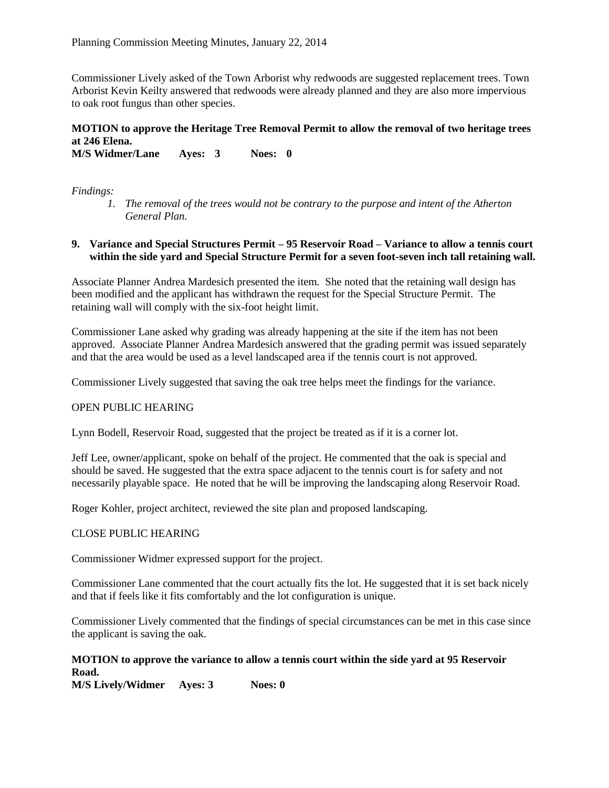Commissioner Lively asked of the Town Arborist why redwoods are suggested replacement trees. Town Arborist Kevin Keilty answered that redwoods were already planned and they are also more impervious to oak root fungus than other species.

# **MOTION to approve the Heritage Tree Removal Permit to allow the removal of two heritage trees at 246 Elena.**

**M/S Widmer/Lane Ayes: 3 Noes: 0**

*Findings:*

*1. The removal of the trees would not be contrary to the purpose and intent of the Atherton General Plan.*

### **9. Variance and Special Structures Permit – 95 Reservoir Road – Variance to allow a tennis court within the side yard and Special Structure Permit for a seven foot-seven inch tall retaining wall.**

Associate Planner Andrea Mardesich presented the item. She noted that the retaining wall design has been modified and the applicant has withdrawn the request for the Special Structure Permit. The retaining wall will comply with the six-foot height limit.

Commissioner Lane asked why grading was already happening at the site if the item has not been approved. Associate Planner Andrea Mardesich answered that the grading permit was issued separately and that the area would be used as a level landscaped area if the tennis court is not approved.

Commissioner Lively suggested that saving the oak tree helps meet the findings for the variance.

#### OPEN PUBLIC HEARING

Lynn Bodell, Reservoir Road, suggested that the project be treated as if it is a corner lot.

Jeff Lee, owner/applicant, spoke on behalf of the project. He commented that the oak is special and should be saved. He suggested that the extra space adjacent to the tennis court is for safety and not necessarily playable space. He noted that he will be improving the landscaping along Reservoir Road.

Roger Kohler, project architect, reviewed the site plan and proposed landscaping.

#### CLOSE PUBLIC HEARING

Commissioner Widmer expressed support for the project.

Commissioner Lane commented that the court actually fits the lot. He suggested that it is set back nicely and that if feels like it fits comfortably and the lot configuration is unique.

Commissioner Lively commented that the findings of special circumstances can be met in this case since the applicant is saving the oak.

# **MOTION to approve the variance to allow a tennis court within the side yard at 95 Reservoir Road.**

**M/S Lively/Widmer Ayes: 3 Noes: 0**